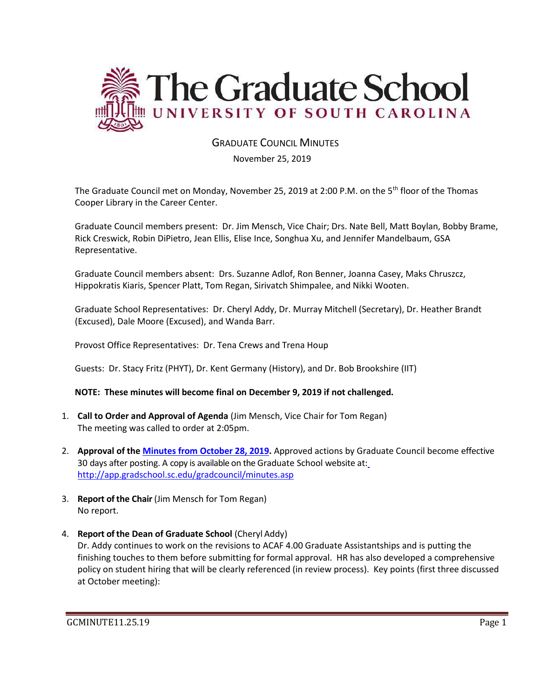

# GRADUATE COUNCIL MINUTES

November 25, 2019

The Graduate Council met on Monday, November 25, 2019 at 2:00 P.M. on the 5th floor of the Thomas Cooper Library in the Career Center.

Graduate Council members present: Dr. Jim Mensch, Vice Chair; Drs. Nate Bell, Matt Boylan, Bobby Brame, Rick Creswick, Robin DiPietro, Jean Ellis, Elise Ince, Songhua Xu, and Jennifer Mandelbaum, GSA Representative.

Graduate Council members absent: Drs. Suzanne Adlof, Ron Benner, Joanna Casey, Maks Chruszcz, Hippokratis Kiaris, Spencer Platt, Tom Regan, Sirivatch Shimpalee, and Nikki Wooten.

Graduate School Representatives: Dr. Cheryl Addy, Dr. Murray Mitchell (Secretary), Dr. Heather Brandt (Excused), Dale Moore (Excused), and Wanda Barr.

Provost Office Representatives: Dr. Tena Crews and Trena Houp

Guests: Dr. Stacy Fritz (PHYT), Dr. Kent Germany (History), and Dr. Bob Brookshire (IIT)

#### **NOTE: These minutes will become final on December 9, 2019 if not challenged.**

- 1. **Call to Order and Approval of Agenda** (Jim Mensch, Vice Chair for Tom Regan) The meeting was called to order at 2:05pm.
- 2. **Approval of the [Minutes from October](file:///C:/Users/wandab/Local%20Documents/Graduate%20Council/GCMINSOCT282019MM.pdf) 28, 2019.** Approved actions by Graduate Council become effective 30 days after posting. A copy is available on the Graduate School website at[:](http://app.gradschool.sc.edu/gradcouncil/minutes.asp) <http://app.gradschool.sc.edu/gradcouncil/minutes.asp>
- 3. **Report of the Chair** (Jim Mensch for Tom Regan) No report.
- 4. **Report of the Dean of Graduate School** (Cheryl Addy)

Dr. Addy continues to work on the revisions to ACAF 4.00 Graduate Assistantships and is putting the finishing touches to them before submitting for formal approval. HR has also developed a comprehensive policy on student hiring that will be clearly referenced (in review process). Key points (first three discussed at October meeting):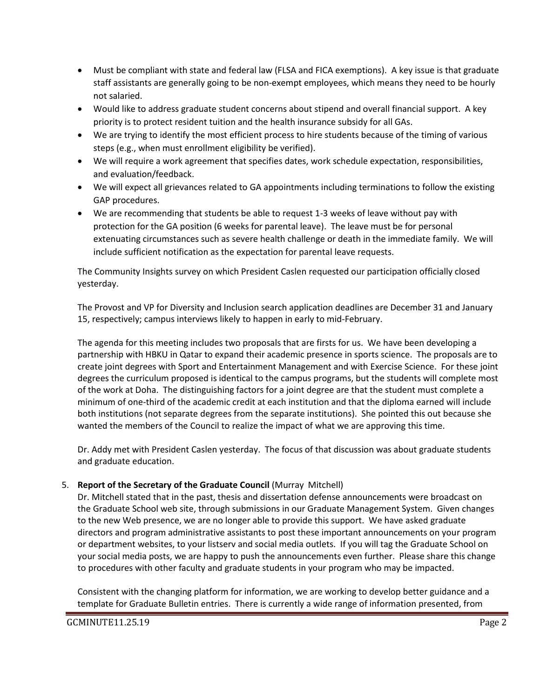- Must be compliant with state and federal law (FLSA and FICA exemptions). A key issue is that graduate staff assistants are generally going to be non-exempt employees, which means they need to be hourly not salaried.
- Would like to address graduate student concerns about stipend and overall financial support. A key priority is to protect resident tuition and the health insurance subsidy for all GAs.
- We are trying to identify the most efficient process to hire students because of the timing of various steps (e.g., when must enrollment eligibility be verified).
- We will require a work agreement that specifies dates, work schedule expectation, responsibilities, and evaluation/feedback.
- We will expect all grievances related to GA appointments including terminations to follow the existing GAP procedures.
- We are recommending that students be able to request 1-3 weeks of leave without pay with protection for the GA position (6 weeks for parental leave). The leave must be for personal extenuating circumstances such as severe health challenge or death in the immediate family. We will include sufficient notification as the expectation for parental leave requests.

The Community Insights survey on which President Caslen requested our participation officially closed yesterday.

The Provost and VP for Diversity and Inclusion search application deadlines are December 31 and January 15, respectively; campus interviews likely to happen in early to mid-February.

The agenda for this meeting includes two proposals that are firsts for us. We have been developing a partnership with HBKU in Qatar to expand their academic presence in sports science. The proposals are to create joint degrees with Sport and Entertainment Management and with Exercise Science. For these joint degrees the curriculum proposed is identical to the campus programs, but the students will complete most of the work at Doha. The distinguishing factors for a joint degree are that the student must complete a minimum of one-third of the academic credit at each institution and that the diploma earned will include both institutions (not separate degrees from the separate institutions). She pointed this out because she wanted the members of the Council to realize the impact of what we are approving this time.

Dr. Addy met with President Caslen yesterday. The focus of that discussion was about graduate students and graduate education.

# 5. **Report of the Secretary of the Graduate Council** (Murray Mitchell)

Dr. Mitchell stated that in the past, thesis and dissertation defense announcements were broadcast on the Graduate School web site, through submissions in our Graduate Management System. Given changes to the new Web presence, we are no longer able to provide this support. We have asked graduate directors and program administrative assistants to post these important announcements on your program or department websites, to your listserv and social media outlets. If you will tag the Graduate School on your social media posts, we are happy to push the announcements even further. Please share this change to procedures with other faculty and graduate students in your program who may be impacted.

Consistent with the changing platform for information, we are working to develop better guidance and a template for Graduate Bulletin entries. There is currently a wide range of information presented, from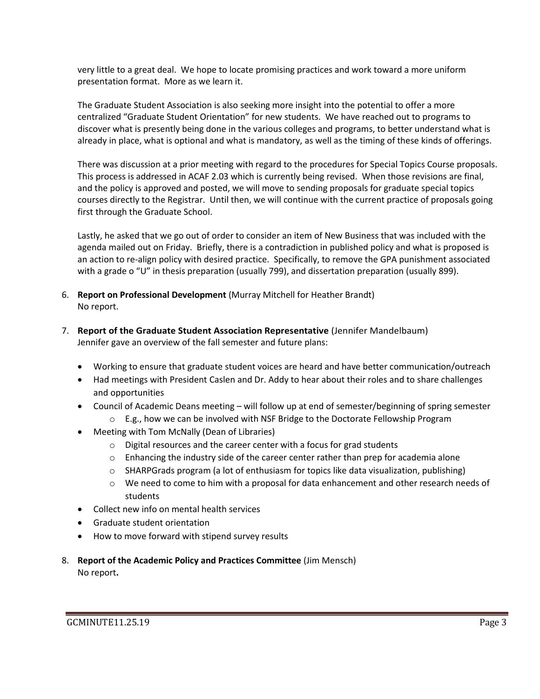very little to a great deal. We hope to locate promising practices and work toward a more uniform presentation format. More as we learn it.

The Graduate Student Association is also seeking more insight into the potential to offer a more centralized "Graduate Student Orientation" for new students. We have reached out to programs to discover what is presently being done in the various colleges and programs, to better understand what is already in place, what is optional and what is mandatory, as well as the timing of these kinds of offerings.

There was discussion at a prior meeting with regard to the procedures for Special Topics Course proposals. This process is addressed in ACAF 2.03 which is currently being revised. When those revisions are final, and the policy is approved and posted, we will move to sending proposals for graduate special topics courses directly to the Registrar. Until then, we will continue with the current practice of proposals going first through the Graduate School.

Lastly, he asked that we go out of order to consider an item of New Business that was included with the agenda mailed out on Friday. Briefly, there is a contradiction in published policy and what is proposed is an action to re-align policy with desired practice. Specifically, to remove the GPA punishment associated with a grade o "U" in thesis preparation (usually 799), and dissertation preparation (usually 899).

- 6. **Report on Professional Development** (Murray Mitchell for Heather Brandt) No report.
- 7. **Report of the Graduate Student Association Representative** (Jennifer Mandelbaum) Jennifer gave an overview of the fall semester and future plans:
	- Working to ensure that graduate student voices are heard and have better communication/outreach
	- Had meetings with President Caslen and Dr. Addy to hear about their roles and to share challenges and opportunities
	- Council of Academic Deans meeting will follow up at end of semester/beginning of spring semester
		- $\circ$  E.g., how we can be involved with NSF Bridge to the Doctorate Fellowship Program
	- Meeting with Tom McNally (Dean of Libraries)
		- o Digital resources and the career center with a focus for grad students
		- $\circ$  Enhancing the industry side of the career center rather than prep for academia alone
		- $\circ$  SHARPGrads program (a lot of enthusiasm for topics like data visualization, publishing)
		- $\circ$  We need to come to him with a proposal for data enhancement and other research needs of students
	- Collect new info on mental health services
	- Graduate student orientation
	- How to move forward with stipend survey results
- 8. **Report of the Academic Policy and Practices Committee** (Jim Mensch) No report**.**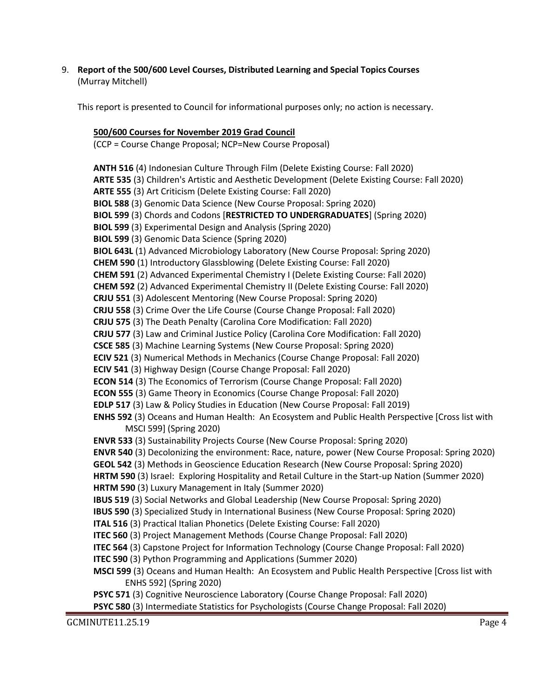9. **Report of the 500/600 Level Courses, Distributed Learning and Special Topics Courses** (Murray Mitchell)

This report is presented to Council for informational purposes only; no action is necessary.

# **500/600 Courses for November 2019 Grad Council**

(CCP = Course Change Proposal; NCP=New Course Proposal)

**ANTH 516** (4) Indonesian Culture Through Film (Delete Existing Course: Fall 2020) **ARTE 535** (3) Children's Artistic and Aesthetic Development (Delete Existing Course: Fall 2020) **ARTE 555** (3) Art Criticism (Delete Existing Course: Fall 2020) **BIOL 588** (3) Genomic Data Science (New Course Proposal: Spring 2020) **BIOL 599** (3) Chords and Codons [**RESTRICTED TO UNDERGRADUATES**] (Spring 2020) **BIOL 599** (3) Experimental Design and Analysis (Spring 2020) **BIOL 599** (3) Genomic Data Science (Spring 2020) **BIOL 643L** (1) Advanced Microbiology Laboratory (New Course Proposal: Spring 2020) **CHEM 590** (1) Introductory Glassblowing (Delete Existing Course: Fall 2020) **CHEM 591** (2) Advanced Experimental Chemistry I (Delete Existing Course: Fall 2020) **CHEM 592** (2) Advanced Experimental Chemistry II (Delete Existing Course: Fall 2020) **CRJU 551** (3) Adolescent Mentoring (New Course Proposal: Spring 2020) **CRJU 558** (3) Crime Over the Life Course (Course Change Proposal: Fall 2020) **CRJU 575** (3) The Death Penalty (Carolina Core Modification: Fall 2020) **CRJU 577** (3) Law and Criminal Justice Policy (Carolina Core Modification: Fall 2020) **CSCE 585** (3) Machine Learning Systems (New Course Proposal: Spring 2020) **ECIV 521** (3) Numerical Methods in Mechanics (Course Change Proposal: Fall 2020) **ECIV 541** (3) Highway Design (Course Change Proposal: Fall 2020) **ECON 514** (3) The Economics of Terrorism (Course Change Proposal: Fall 2020) **ECON 555** (3) Game Theory in Economics (Course Change Proposal: Fall 2020) **EDLP 517** (3) Law & Policy Studies in Education (New Course Proposal: Fall 2019) **ENHS 592** (3) Oceans and Human Health: An Ecosystem and Public Health Perspective [Cross list with MSCI 599] (Spring 2020) **ENVR 533** (3) Sustainability Projects Course (New Course Proposal: Spring 2020) **ENVR 540** (3) Decolonizing the environment: Race, nature, power (New Course Proposal: Spring 2020) **GEOL 542** (3) Methods in Geoscience Education Research (New Course Proposal: Spring 2020) **HRTM 590** (3) Israel: Exploring Hospitality and Retail Culture in the Start-up Nation (Summer 2020) **HRTM 590** (3) Luxury Management in Italy (Summer 2020) **IBUS 519** (3) Social Networks and Global Leadership (New Course Proposal: Spring 2020) **IBUS 590** (3) Specialized Study in International Business (New Course Proposal: Spring 2020) **ITAL 516** (3) Practical Italian Phonetics (Delete Existing Course: Fall 2020) **ITEC 560** (3) Project Management Methods (Course Change Proposal: Fall 2020) **ITEC 564** (3) Capstone Project for Information Technology (Course Change Proposal: Fall 2020) **ITEC 590** (3) Python Programming and Applications (Summer 2020) **MSCI 599** (3) Oceans and Human Health: An Ecosystem and Public Health Perspective [Cross list with ENHS 592] (Spring 2020) **PSYC 571** (3) Cognitive Neuroscience Laboratory (Course Change Proposal: Fall 2020) **PSYC 580** (3) Intermediate Statistics for Psychologists (Course Change Proposal: Fall 2020)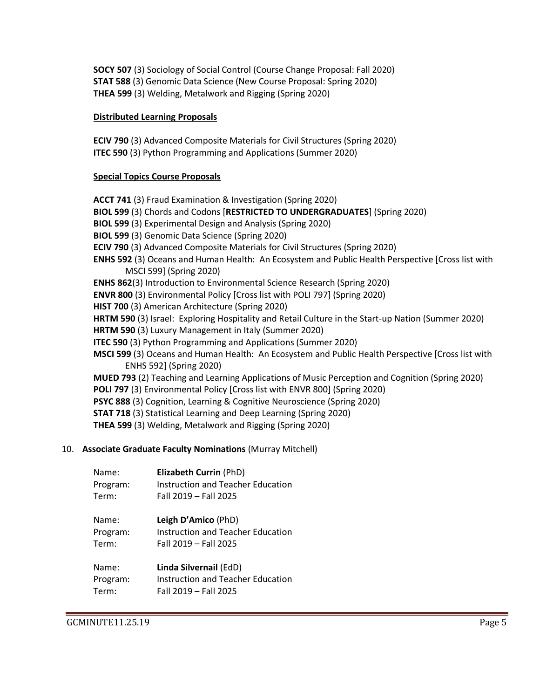**SOCY 507** (3) Sociology of Social Control (Course Change Proposal: Fall 2020) **STAT 588** (3) Genomic Data Science (New Course Proposal: Spring 2020) **THEA 599** (3) Welding, Metalwork and Rigging (Spring 2020)

#### **Distributed Learning Proposals**

**ECIV 790** (3) Advanced Composite Materials for Civil Structures (Spring 2020) **ITEC 590** (3) Python Programming and Applications (Summer 2020)

#### **Special Topics Course Proposals**

**ACCT 741** (3) Fraud Examination & Investigation (Spring 2020) **BIOL 599** (3) Chords and Codons [**RESTRICTED TO UNDERGRADUATES**] (Spring 2020) **BIOL 599** (3) Experimental Design and Analysis (Spring 2020) **BIOL 599** (3) Genomic Data Science (Spring 2020) **ECIV 790** (3) Advanced Composite Materials for Civil Structures (Spring 2020) **ENHS 592** (3) Oceans and Human Health: An Ecosystem and Public Health Perspective [Cross list with MSCI 599] (Spring 2020) **ENHS 862**(3) Introduction to Environmental Science Research (Spring 2020) **ENVR 800** (3) Environmental Policy [Cross list with POLI 797] (Spring 2020) **HIST 700** (3) American Architecture (Spring 2020) **HRTM 590** (3) Israel: Exploring Hospitality and Retail Culture in the Start-up Nation (Summer 2020) **HRTM 590** (3) Luxury Management in Italy (Summer 2020) **ITEC 590** (3) Python Programming and Applications (Summer 2020) **MSCI 599** (3) Oceans and Human Health: An Ecosystem and Public Health Perspective [Cross list with ENHS 592] (Spring 2020) **MUED 793** (2) Teaching and Learning Applications of Music Perception and Cognition (Spring 2020) **POLI 797** (3) Environmental Policy [Cross list with ENVR 800] (Spring 2020) **PSYC 888** (3) Cognition, Learning & Cognitive Neuroscience (Spring 2020) **STAT 718** (3) Statistical Learning and Deep Learning (Spring 2020) **THEA 599** (3) Welding, Metalwork and Rigging (Spring 2020)

#### 10. **Associate Graduate Faculty Nominations** (Murray Mitchell)

| Name:    | Elizabeth Currin (PhD)            |
|----------|-----------------------------------|
| Program: | Instruction and Teacher Education |
| Term:    | Fall 2019 - Fall 2025             |

| Name:    | Leigh D'Amico (PhD)               |
|----------|-----------------------------------|
| Program: | Instruction and Teacher Education |
| Term:    | Fall 2019 - Fall 2025             |

| Name:    | Linda Silvernail (EdD)            |
|----------|-----------------------------------|
| Program: | Instruction and Teacher Education |
| Term:    | Fall 2019 - Fall 2025             |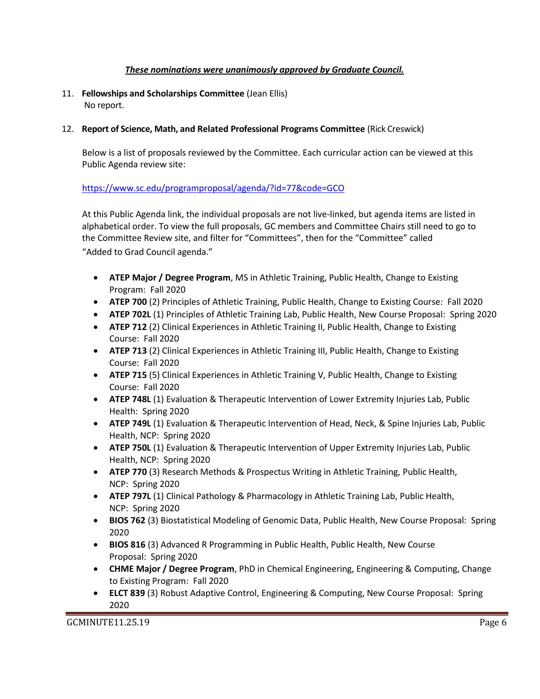# *These nominations were unanimously approved by Graduate Council.*

11. **Fellowships and Scholarships Committee** (Jean Ellis) No report.

### 12. **Report of Science, Math, and Related Professional Programs Committee** (Rick Creswick)

Below is a list of proposals reviewed by the Committee. Each curricular action can be viewed at this Public Agenda review site:

### <https://www.sc.edu/programproposal/agenda/?id=77&code=GCO>

At this Public Agenda link, the individual proposals are not live-linked, but agenda items are listed in alphabetical order. To view the full proposals, GC members and Committee Chairs still need to go to the Committee Review site, and filter for "Committees", then for the "Committee" called "Added to Grad Council agenda."

- **ATEP Major / Degree Program**, MS in Athletic Training, Public Health, Change to Existing Program: Fall 2020
- **ATEP 700** (2) Principles of Athletic Training, Public Health, Change to Existing Course: Fall 2020
- **ATEP 702L** (1) Principles of Athletic Training Lab, Public Health, New Course Proposal: Spring 2020
- **ATEP 712** (2) Clinical Experiences in Athletic Training II, Public Health, Change to Existing Course: Fall 2020
- **ATEP 713** (2) Clinical Experiences in Athletic Training III, Public Health, Change to Existing Course: Fall 2020
- **ATEP 715** (5) Clinical Experiences in Athletic Training V, Public Health, Change to Existing Course: Fall 2020
- **ATEP 748L** (1) Evaluation & Therapeutic Intervention of Lower Extremity Injuries Lab, Public Health: Spring 2020
- **ATEP 749L** (1) Evaluation & Therapeutic Intervention of Head, Neck, & Spine Injuries Lab, Public Health, NCP: Spring 2020
- **ATEP 750L** (1) Evaluation & Therapeutic Intervention of Upper Extremity Injuries Lab, Public Health, NCP: Spring 2020
- **ATEP 770** (3) Research Methods & Prospectus Writing in Athletic Training, Public Health, NCP: Spring 2020
- **ATEP 797L** (1) Clinical Pathology & Pharmacology in Athletic Training Lab, Public Health, NCP: Spring 2020
- **BIOS 762** (3) Biostatistical Modeling of Genomic Data, Public Health, New Course Proposal: Spring 2020
- **BIOS 816** (3) Advanced R Programming in Public Health, Public Health, New Course Proposal: Spring 2020
- **CHME Major / Degree Program**, PhD in Chemical Engineering, Engineering & Computing, Change to Existing Program: Fall 2020
- **ELCT 839** (3) Robust Adaptive Control, Engineering & Computing, New Course Proposal: Spring 2020

GCMINUTE11.25.19 Page 6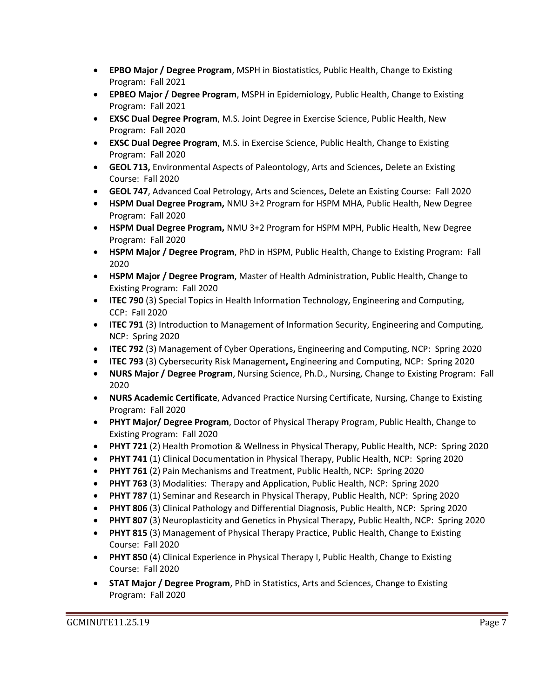- **EPBO Major / Degree Program**, MSPH in Biostatistics, Public Health, Change to Existing Program: Fall 2021
- **EPBEO Major / Degree Program**, MSPH in Epidemiology, Public Health, Change to Existing Program: Fall 2021
- **EXSC Dual Degree Program**, M.S. Joint Degree in Exercise Science, Public Health, New Program: Fall 2020
- **EXSC Dual Degree Program**, M.S. in Exercise Science, Public Health, Change to Existing Program: Fall 2020
- **GEOL 713,** Environmental Aspects of Paleontology, Arts and Sciences**,** Delete an Existing Course: Fall 2020
- **GEOL 747**, Advanced Coal Petrology, Arts and Sciences**,** Delete an Existing Course: Fall 2020
- **HSPM Dual Degree Program,** NMU 3+2 Program for HSPM MHA, Public Health, New Degree Program: Fall 2020
- **HSPM Dual Degree Program,** NMU 3+2 Program for HSPM MPH, Public Health, New Degree Program: Fall 2020
- **HSPM Major / Degree Program**, PhD in HSPM, Public Health, Change to Existing Program: Fall 2020
- **HSPM Major / Degree Program**, Master of Health Administration, Public Health, Change to Existing Program: Fall 2020
- **ITEC 790** (3) Special Topics in Health Information Technology, Engineering and Computing, CCP: Fall 2020
- **ITEC 791** (3) Introduction to Management of Information Security, Engineering and Computing, NCP: Spring 2020
- **ITEC 792** (3) Management of Cyber Operations**,** Engineering and Computing, NCP: Spring 2020
- **ITEC 793** (3) Cybersecurity Risk Management**,** Engineering and Computing, NCP: Spring 2020
- **NURS Major / Degree Program**, Nursing Science, Ph.D., Nursing, Change to Existing Program: Fall 2020
- **NURS Academic Certificate**, Advanced Practice Nursing Certificate, Nursing, Change to Existing Program: Fall 2020
- **PHYT Major/ Degree Program**, Doctor of Physical Therapy Program, Public Health, Change to Existing Program: Fall 2020
- **PHYT 721** (2) Health Promotion & Wellness in Physical Therapy, Public Health, NCP: Spring 2020
- **PHYT 741** (1) Clinical Documentation in Physical Therapy, Public Health, NCP: Spring 2020
- **PHYT 761** (2) Pain Mechanisms and Treatment, Public Health, NCP: Spring 2020
- **PHYT 763** (3) Modalities: Therapy and Application, Public Health, NCP: Spring 2020
- **PHYT 787** (1) Seminar and Research in Physical Therapy, Public Health, NCP: Spring 2020
- **PHYT 806** (3) Clinical Pathology and Differential Diagnosis, Public Health, NCP: Spring 2020
- **PHYT 807** (3) Neuroplasticity and Genetics in Physical Therapy, Public Health, NCP: Spring 2020
- **PHYT 815** (3) Management of Physical Therapy Practice, Public Health, Change to Existing Course: Fall 2020
- **PHYT 850** (4) Clinical Experience in Physical Therapy I, Public Health, Change to Existing Course: Fall 2020
- **STAT Major / Degree Program**, PhD in Statistics, Arts and Sciences, Change to Existing Program: Fall 2020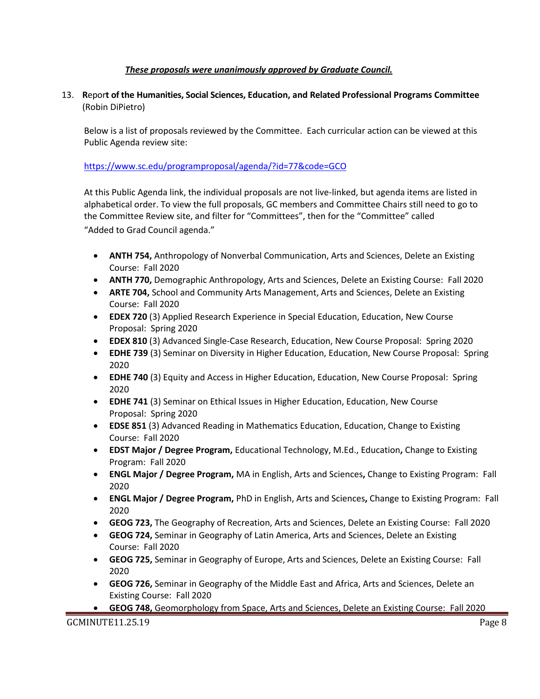# *These proposals were unanimously approved by Graduate Council.*

# 13. **R**epor**t of the Humanities, Social Sciences, Education, and Related Professional Programs Committee**  (Robin DiPietro)

Below is a list of proposals reviewed by the Committee. Each curricular action can be viewed at this Public Agenda review site:

## <https://www.sc.edu/programproposal/agenda/?id=77&code=GCO>

At this Public Agenda link, the individual proposals are not live-linked, but agenda items are listed in alphabetical order. To view the full proposals, GC members and Committee Chairs still need to go to the Committee Review site, and filter for "Committees", then for the "Committee" called "Added to Grad Council agenda."

- **ANTH 754,** Anthropology of Nonverbal Communication, Arts and Sciences, Delete an Existing Course: Fall 2020
- **ANTH 770,** Demographic Anthropology, Arts and Sciences, Delete an Existing Course: Fall 2020
- **ARTE 704,** School and Community Arts Management, Arts and Sciences, Delete an Existing Course: Fall 2020
- **EDEX 720** (3) Applied Research Experience in Special Education, Education, New Course Proposal: Spring 2020
- **EDEX 810** (3) Advanced Single-Case Research, Education, New Course Proposal: Spring 2020
- **EDHE 739** (3) Seminar on Diversity in Higher Education, Education, New Course Proposal: Spring 2020
- **EDHE 740** (3) Equity and Access in Higher Education, Education, New Course Proposal: Spring 2020
- **EDHE 741** (3) Seminar on Ethical Issues in Higher Education, Education, New Course Proposal: Spring 2020
- **EDSE 851** (3) Advanced Reading in Mathematics Education, Education, Change to Existing Course: Fall 2020
- **EDST Major / Degree Program,** Educational Technology, M.Ed., Education**,** Change to Existing Program: Fall 2020
- **ENGL Major / Degree Program,** MA in English, Arts and Sciences**,** Change to Existing Program: Fall 2020
- **ENGL Major / Degree Program,** PhD in English, Arts and Sciences**,** Change to Existing Program: Fall 2020
- **GEOG 723,** The Geography of Recreation, Arts and Sciences, Delete an Existing Course: Fall 2020
- **GEOG 724,** Seminar in Geography of Latin America, Arts and Sciences, Delete an Existing Course: Fall 2020
- **GEOG 725,** Seminar in Geography of Europe, Arts and Sciences, Delete an Existing Course: Fall 2020
- **GEOG 726,** Seminar in Geography of the Middle East and Africa, Arts and Sciences, Delete an Existing Course: Fall 2020
- **GEOG 748,** Geomorphology from Space, Arts and Sciences, Delete an Existing Course: Fall 2020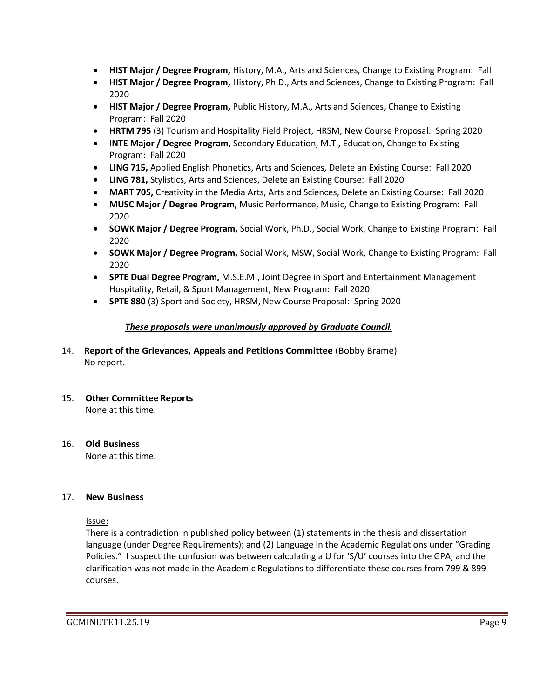- **HIST Major / Degree Program,** History, M.A., Arts and Sciences, Change to Existing Program: Fall
- **HIST Major / Degree Program,** History, Ph.D., Arts and Sciences, Change to Existing Program: Fall 2020
- **HIST Major / Degree Program,** Public History, M.A., Arts and Sciences**,** Change to Existing Program: Fall 2020
- **HRTM 795** (3) Tourism and Hospitality Field Project, HRSM, New Course Proposal: Spring 2020
- **INTE Major / Degree Program**, Secondary Education, M.T., Education, Change to Existing Program: Fall 2020
- **LING 715,** Applied English Phonetics, Arts and Sciences, Delete an Existing Course: Fall 2020
- **LING 781,** Stylistics, Arts and Sciences, Delete an Existing Course: Fall 2020
- **MART 705,** Creativity in the Media Arts, Arts and Sciences, Delete an Existing Course: Fall 2020
- **MUSC Major / Degree Program,** Music Performance, Music, Change to Existing Program: Fall 2020
- **SOWK Major / Degree Program,** Social Work, Ph.D., Social Work, Change to Existing Program: Fall 2020
- **SOWK Major / Degree Program,** Social Work, MSW, Social Work, Change to Existing Program: Fall 2020
- **SPTE Dual Degree Program,** M.S.E.M., Joint Degree in Sport and Entertainment Management Hospitality, Retail, & Sport Management, New Program: Fall 2020
- **SPTE 880** (3) Sport and Society, HRSM, New Course Proposal: Spring 2020

# *These proposals were unanimously approved by Graduate Council.*

- 14. **Report of the Grievances, Appeals and Petitions Committee** (Bobby Brame) No report.
- 15. **Other Committee Reports** None at this time.
- 16. **Old Business** None at this time.

#### 17. **New Business**

Issue:

There is a contradiction in published policy between (1) statements in the thesis and dissertation language (under Degree Requirements); and (2) Language in the Academic Regulations under "Grading Policies." I suspect the confusion was between calculating a U for 'S/U' courses into the GPA, and the clarification was not made in the Academic Regulations to differentiate these courses from 799 & 899 courses.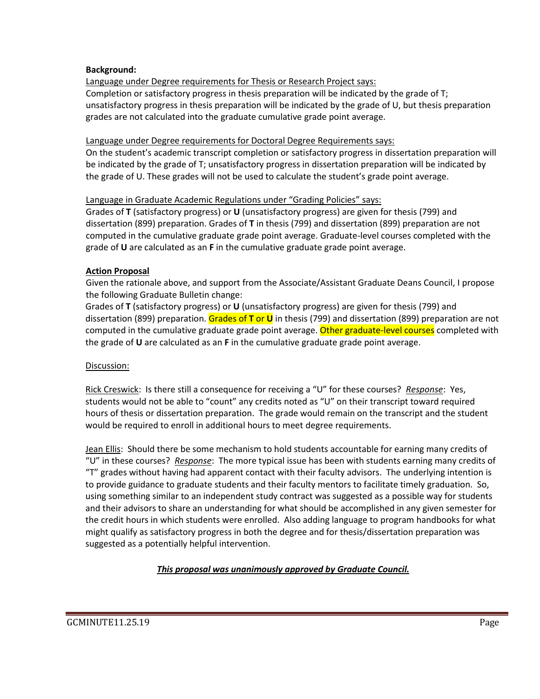#### **Background:**

Language under Degree requirements for Thesis or Research Project says: Completion or satisfactory progress in thesis preparation will be indicated by the grade of T; unsatisfactory progress in thesis preparation will be indicated by the grade of U, but thesis preparation grades are not calculated into the graduate cumulative grade point average.

### Language under Degree requirements for Doctoral Degree Requirements says:

On the student's academic transcript completion or satisfactory progress in dissertation preparation will be indicated by the grade of T; unsatisfactory progress in dissertation preparation will be indicated by the grade of U. These grades will not be used to calculate the student's grade point average.

### Language in Graduate Academic Regulations under "Grading Policies" says:

Grades of **T** (satisfactory progress) or **U** (unsatisfactory progress) are given for thesis (799) and dissertation (899) preparation. Grades of **T** in thesis (799) and dissertation (899) preparation are not computed in the cumulative graduate grade point average. Graduate-level courses completed with the grade of **U** are calculated as an **F** in the cumulative graduate grade point average.

### **Action Proposal**

Given the rationale above, and support from the Associate/Assistant Graduate Deans Council, I propose the following Graduate Bulletin change:

Grades of **T** (satisfactory progress) or **U** (unsatisfactory progress) are given for thesis (799) and dissertation (899) preparation. Grades of **T** or **U** in thesis (799) and dissertation (899) preparation are not computed in the cumulative graduate grade point average. Other graduate-level courses completed with the grade of **U** are calculated as an **F** in the cumulative graduate grade point average.

# Discussion:

Rick Creswick: Is there still a consequence for receiving a "U" for these courses? *Response*: Yes, students would not be able to "count" any credits noted as "U" on their transcript toward required hours of thesis or dissertation preparation. The grade would remain on the transcript and the student would be required to enroll in additional hours to meet degree requirements.

Jean Ellis: Should there be some mechanism to hold students accountable for earning many credits of "U" in these courses? *Response*: The more typical issue has been with students earning many credits of "T" grades without having had apparent contact with their faculty advisors. The underlying intention is to provide guidance to graduate students and their faculty mentors to facilitate timely graduation. So, using something similar to an independent study contract was suggested as a possible way for students and their advisors to share an understanding for what should be accomplished in any given semester for the credit hours in which students were enrolled. Also adding language to program handbooks for what might qualify as satisfactory progress in both the degree and for thesis/dissertation preparation was suggested as a potentially helpful intervention.

# *This proposal was unanimously approved by Graduate Council.*